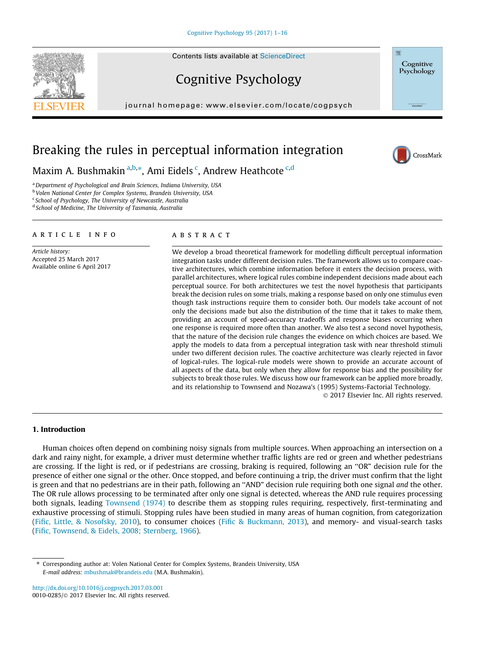# Cognitive Psychology

 $j$ e: www.elsevier.com/locate/com/locate/cogpsych



# Breaking the rules in perceptual information integration

Maxim A. Bushmakin <sup>a,b,\*</sup>, Ami Eidels <sup>c</sup>, Andrew Heathcote <sup>c,d</sup>

<sup>a</sup> Department of Psychological and Brain Sciences, Indiana University, USA

<sup>b</sup> Volen National Center for Complex Systems, Brandeis University, USA

<sup>c</sup> School of Psychology, The University of Newcastle, Australia

<sup>d</sup> School of Medicine, The University of Tasmania, Australia

#### article info

Article history: Accepted 25 March 2017 Available online 6 April 2017

### **ABSTRACT**

We develop a broad theoretical framework for modelling difficult perceptual information integration tasks under different decision rules. The framework allows us to compare coactive architectures, which combine information before it enters the decision process, with parallel architectures, where logical rules combine independent decisions made about each perceptual source. For both architectures we test the novel hypothesis that participants break the decision rules on some trials, making a response based on only one stimulus even though task instructions require them to consider both. Our models take account of not only the decisions made but also the distribution of the time that it takes to make them, providing an account of speed-accuracy tradeoffs and response biases occurring when one response is required more often than another. We also test a second novel hypothesis, that the nature of the decision rule changes the evidence on which choices are based. We apply the models to data from a perceptual integration task with near threshold stimuli under two different decision rules. The coactive architecture was clearly rejected in favor of logical-rules. The logical-rule models were shown to provide an accurate account of all aspects of the data, but only when they allow for response bias and the possibility for subjects to break those rules. We discuss how our framework can be applied more broadly, and its relationship to Townsend and Nozawa's (1995) Systems-Factorial Technology.

2017 Elsevier Inc. All rights reserved.

Cognitive Psychology

CrossMark

#### 1. Introduction

Human choices often depend on combining noisy signals from multiple sources. When approaching an intersection on a dark and rainy night, for example, a driver must determine whether traffic lights are red or green and whether pedestrians are crossing. If the light is red, or if pedestrians are crossing, braking is required, following an ''OR" decision rule for the presence of either one signal or the other. Once stopped, and before continuing a trip, the driver must confirm that the light is green and that no pedestrians are in their path, following an "AND" decision rule requiring both one signal and the other. The OR rule allows processing to be terminated after only one signal is detected, whereas the AND rule requires processing both signals, leading [Townsend \(1974\)](#page-15-0) to describe them as stopping rules requiring, respectively, first-terminating and exhaustive processing of stimuli. Stopping rules have been studied in many areas of human cognition, from categorization ([Fific, Little, & Nosofsky, 2010](#page-14-0)), to consumer choices ([Fific & Buckmann, 2013](#page-14-0)), and memory- and visual-search tasks ([Fific, Townsend, & Eidels, 2008; Sternberg, 1966](#page-14-0)).

<http://dx.doi.org/10.1016/j.cogpsych.2017.03.001> 0010-0285/ 2017 Elsevier Inc. All rights reserved.

<sup>⇑</sup> Corresponding author at: Volen National Center for Complex Systems, Brandeis University, USA E-mail address: [mbushmak@brandeis.edu](mailto:mbushmak@brandeis.edu) (M.A. Bushmakin).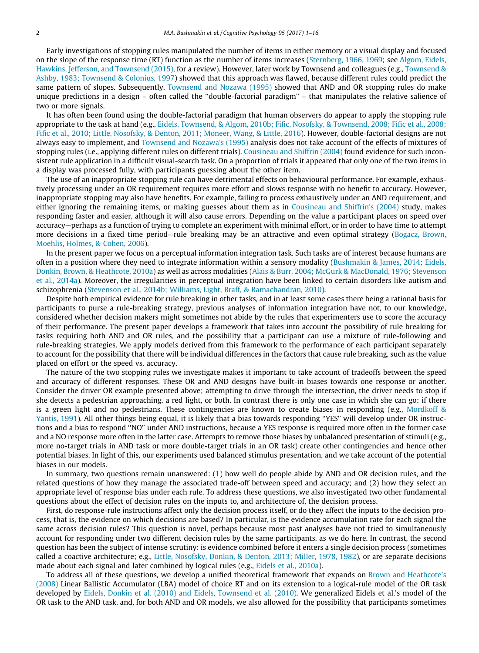Early investigations of stopping rules manipulated the number of items in either memory or a visual display and focused on the slope of the response time (RT) function as the number of items increases ([Sternberg, 1966, 1969;](#page-14-0) see [Algom, Eidels,](#page-14-0) [Hawkins, Jefferson, and Townsend \(2015\)](#page-14-0), for a review). However, later work by Townsend and colleagues (e.g., [Townsend &](#page-15-0) [Ashby, 1983; Townsend & Colonius, 1997](#page-15-0)) showed that this approach was flawed, because different rules could predict the same pattern of slopes. Subsequently, [Townsend and Nozawa \(1995\)](#page-15-0) showed that AND and OR stopping rules do make unique predictions in a design – often called the ''double-factorial paradigm" – that manipulates the relative salience of two or more signals.

It has often been found using the double-factorial paradigm that human observers do appear to apply the stopping rule appropriate to the task at hand (e.g., [Eidels, Townsend, & Algom, 2010b; Fific, Nosofsky, & Townsend, 2008; Fific et al., 2008;](#page-14-0) [Fific et al., 2010; Little, Nosofsky, & Denton, 2011; Moneer, Wang, & Little, 2016](#page-14-0)). However, double-factorial designs are not always easy to implement, and [Townsend and Nozawa's \(1995\)](#page-15-0) analysis does not take account of the effects of mixtures of stopping rules (i.e., applying different rules on different trials). [Cousineau and Shiffrin \(2004\)](#page-14-0) found evidence for such inconsistent rule application in a difficult visual-search task. On a proportion of trials it appeared that only one of the two items in a display was processed fully, with participants guessing about the other item.

The use of an inappropriate stopping rule can have detrimental effects on behavioural performance. For example, exhaustively processing under an OR requirement requires more effort and slows response with no benefit to accuracy. However, inappropriate stopping may also have benefits. For example, failing to process exhaustively under an AND requirement, and either ignoring the remaining items, or making guesses about them as in [Cousineau and Shiffrin's \(2004\)](#page-14-0) study, makes responding faster and easier, although it will also cause errors. Depending on the value a participant places on speed over accuracy—perhaps as a function of trying to complete an experiment with minimal effort, or in order to have time to attempt more decisions in a fixed time period—rule breaking may be an attractive and even optimal strategy ([Bogacz, Brown,](#page-14-0) [Moehlis, Holmes, & Cohen, 2006](#page-14-0)).

In the present paper we focus on a perceptual information integration task. Such tasks are of interest because humans are often in a position where they need to integrate information within a sensory modality [\(Bushmakin & James, 2014; Eidels,](#page-14-0) [Donkin, Brown, & Heathcote, 2010a\)](#page-14-0) as well as across modalities ([Alais & Burr, 2004; McGurk & MacDonald, 1976; Stevenson](#page-14-0) [et al., 2014a](#page-14-0)). Moreover, the irregularities in perceptual integration have been linked to certain disorders like autism and schizophrenia ([Stevenson et al., 2014b; Williams, Light, Braff, & Ramachandran, 2010\)](#page-15-0).

Despite both empirical evidence for rule breaking in other tasks, and in at least some cases there being a rational basis for participants to purse a rule-breaking strategy, previous analyses of information integration have not, to our knowledge, considered whether decision makers might sometimes not abide by the rules that experimenters use to score the accuracy of their performance. The present paper develops a framework that takes into account the possibility of rule breaking for tasks requiring both AND and OR rules, and the possibility that a participant can use a mixture of rule-following and rule-breaking strategies. We apply models derived from this framework to the performance of each participant separately to account for the possibility that there will be individual differences in the factors that cause rule breaking, such as the value placed on effort or the speed vs. accuracy.

The nature of the two stopping rules we investigate makes it important to take account of tradeoffs between the speed and accuracy of different responses. These OR and AND designs have built-in biases towards one response or another. Consider the driver OR example presented above; attempting to drive through the intersection, the driver needs to stop if she detects a pedestrian approaching, a red light, or both. In contrast there is only one case in which she can go: if there is a green light and no pedestrians. These contingencies are known to create biases in responding (e.g., [Mordkoff &](#page-14-0) [Yantis, 1991](#page-14-0)). All other things being equal, it is likely that a bias towards responding ''YES" will develop under OR instructions and a bias to respond ''NO" under AND instructions, because a YES response is required more often in the former case and a NO response more often in the latter case. Attempts to remove those biases by unbalanced presentation of stimuli (e.g., more no-target trials in AND task or more double-target trials in an OR task) create other contingencies and hence other potential biases. In light of this, our experiments used balanced stimulus presentation, and we take account of the potential biases in our models.

In summary, two questions remain unanswered: (1) how well do people abide by AND and OR decision rules, and the related questions of how they manage the associated trade-off between speed and accuracy; and (2) how they select an appropriate level of response bias under each rule. To address these questions, we also investigated two other fundamental questions about the effect of decision rules on the inputs to, and architecture of, the decision process.

First, do response-rule instructions affect only the decision process itself, or do they affect the inputs to the decision process, that is, the evidence on which decisions are based? In particular, is the evidence accumulation rate for each signal the same across decision rules? This question is novel, perhaps because most past analyses have not tried to simultaneously account for responding under two different decision rules by the same participants, as we do here. In contrast, the second question has been the subject of intense scrutiny: is evidence combined before it enters a single decision process (sometimes called a coactive architecture; e.g., [Little, Nosofsky, Donkin, & Denton, 2013; Miller, 1978, 1982](#page-14-0)), or are separate decisions made about each signal and later combined by logical rules (e.g., [Eidels et al., 2010a](#page-14-0)).

To address all of these questions, we develop a unified theoretical framework that expands on [Brown and Heathcote's](#page-14-0) [\(2008\)](#page-14-0) Linear Ballistic Accumulator (LBA) model of choice RT and on its extension to a logical-rule model of the OR task developed by [Eidels, Donkin et al. \(2010\) and Eidels, Townsend et al. \(2010\)](#page-14-0). We generalized Eidels et al.'s model of the OR task to the AND task, and, for both AND and OR models, we also allowed for the possibility that participants sometimes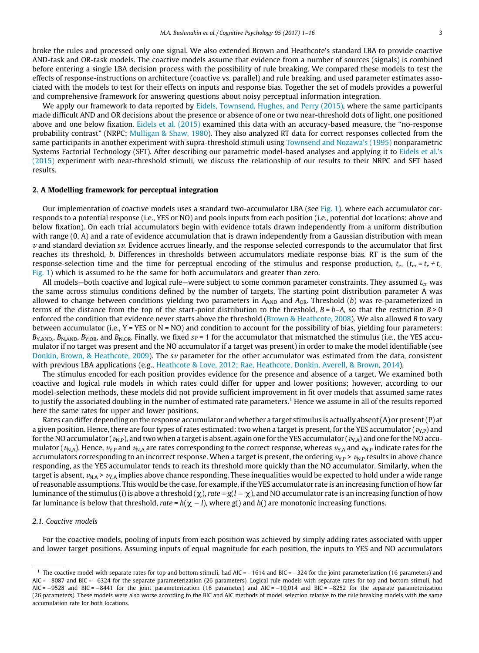broke the rules and processed only one signal. We also extended Brown and Heathcote's standard LBA to provide coactive AND-task and OR-task models. The coactive models assume that evidence from a number of sources (signals) is combined before entering a single LBA decision process with the possibility of rule breaking. We compared these models to test the effects of response-instructions on architecture (coactive vs. parallel) and rule breaking, and used parameter estimates associated with the models to test for their effects on inputs and response bias. Together the set of models provides a powerful and comprehensive framework for answering questions about noisy perceptual information integration.

We apply our framework to data reported by [Eidels, Townsend, Hughes, and Perry \(2015\)](#page-14-0), where the same participants made difficult AND and OR decisions about the presence or absence of one or two near-threshold dots of light, one positioned above and one below fixation. [Eidels et al. \(2015\)](#page-14-0) examined this data with an accuracy-based measure, the ''no-response probability contrast" (NRPC; [Mulligan & Shaw, 1980](#page-14-0)). They also analyzed RT data for correct responses collected from the same participants in another experiment with supra-threshold stimuli using [Townsend and Nozawa's \(1995\)](#page-15-0) nonparametric Systems Factorial Technology (SFT). After describing our parametric model-based analyses and applying it to [Eidels et al.'s](#page-14-0) [\(2015\)](#page-14-0) experiment with near-threshold stimuli, we discuss the relationship of our results to their NRPC and SFT based results.

#### 2. A Modelling framework for perceptual integration

Our implementation of coactive models uses a standard two-accumulator LBA (see [Fig. 1](#page-3-0)), where each accumulator corresponds to a potential response (i.e., YES or NO) and pools inputs from each position (i.e., potential dot locations: above and below fixation). On each trial accumulators begin with evidence totals drawn independently from a uniform distribution with range (0, A) and a rate of evidence accumulation that is drawn independently from a Gaussian distribution with mean  $\nu$  and standard deviation s $\nu$ . Evidence accrues linearly, and the response selected corresponds to the accumulator that first reaches its threshold, b. Differences in thresholds between accumulators mediate response bias. RT is the sum of the response-selection time and the time for perceptual encoding of the stimulus and response production,  $t_{\text{er}}$  ( $t_{er}$  =  $t_e$  +  $t_r$ ) [Fig. 1](#page-3-0)) which is assumed to be the same for both accumulators and greater than zero.

All models—both coactive and logical rule—were subject to some common parameter constraints. They assumed  $t_{er}$  was the same across stimulus conditions defined by the number of targets. The starting point distribution parameter A was allowed to change between conditions yielding two parameters in  $A_{AND}$  and  $A_{OR}$ . Threshold (b) was re-parameterized in terms of the distance from the top of the start-point distribution to the threshold,  $B = b-A$ , so that the restriction  $B > 0$ enforced the condition that evidence never starts above the threshold [\(Brown & Heathcote, 2008](#page-14-0)). We also allowed B to vary between accumulator (i.e.,  $Y = YES$  or  $N = NO$ ) and condition to account for the possibility of bias, yielding four parameters:  $B_{Y,AND}$ ,  $B_{N,AND}$ ,  $B_{Y,OR}$ , and  $B_{N,OR}$ . Finally, we fixed  $sv = 1$  for the accumulator that mismatched the stimulus (i.e., the YES accumulator if no target was present and the NO accumulator if a target was present) in order to make the model identifiable (see [Donkin, Brown, & Heathcote, 2009](#page-14-0)). The sv parameter for the other accumulator was estimated from the data, consistent with previous LBA applications (e.g., [Heathcote & Love, 2012; Rae, Heathcote, Donkin, Averell, & Brown, 2014](#page-14-0)).

The stimulus encoded for each position provides evidence for the presence and absence of a target. We examined both coactive and logical rule models in which rates could differ for upper and lower positions; however, according to our model-selection methods, these models did not provide sufficient improvement in fit over models that assumed same rates to justify the associated doubling in the number of estimated rate parameters.<sup>1</sup> Hence we assume in all of the results reported here the same rates for upper and lower positions.

Rates can differ depending on the response accumulator and whether a target stimulus is actually absent (A) or present (P) at a given position. Hence, there are four types of rates estimated: two when a target is present, for the YES accumulator ( $v_{Y,P}$ ) and for the NO accumulator ( $v_{N,P}$ ), and two when a target is absent, again one for the YES accumulator ( $v_{Y,A}$ ) and one for the NO accumulator ( $v_{NA}$ ). Hence,  $v_{Y,P}$  and  $v_{NA}$  are rates corresponding to the correct response, whereas  $v_{YA}$  and  $v_{NP}$  indicate rates for the accumulators corresponding to an incorrect response. When a target is present, the ordering  $v_{\rm LP}$  >  $v_{\rm NP}$  results in above chance responding, as the YES accumulator tends to reach its threshold more quickly than the NO accumulator. Similarly, when the target is absent,  $v_{NA}$  >  $v_{YA}$  implies above chance responding. These inequalities would be expected to hold under a wide range of reasonable assumptions. This would be the case, for example, if the YES accumulator rate is an increasing function of how far luminance of the stimulus (*l*) is above a threshold  $(\chi)$ , rate =  $g(l - \chi)$ , and NO accumulator rate is an increasing function of how far luminance is below that threshold, rate =  $h(\chi - l)$ , where g() and h() are monotonic increasing functions.

#### 2.1. Coactive models

For the coactive models, pooling of inputs from each position was achieved by simply adding rates associated with upper and lower target positions. Assuming inputs of equal magnitude for each position, the inputs to YES and NO accumulators

<sup>&</sup>lt;sup>1</sup> The coactive model with separate rates for top and bottom stimuli, had AIC =  $-1614$  and BIC =  $-324$  for the joint parameterization (16 parameters) and AIC = 8087 and BIC = 6324 for the separate parameterization (26 parameters). Logical rule models with separate rates for top and bottom stimuli, had AIC = -9528 and BIC = -8441 for the joint parameterization (16 parameter) and AIC = -10,014 and BIC = -8252 for the separate parameterization (26 parameters). These models were also worse according to the BIC and AIC methods of model selection relative to the rule breaking models with the same accumulation rate for both locations.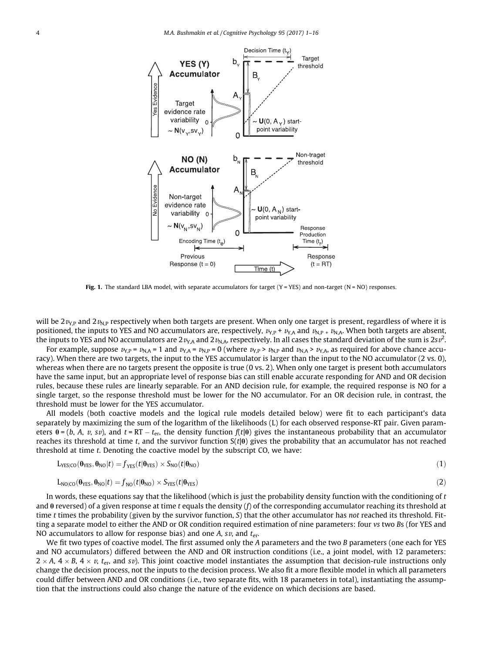<span id="page-3-0"></span>

Fig. 1. The standard LBA model, with separate accumulators for target  $(Y = YES)$  and non-target  $(N = NO)$  responses.

will be  $2v_{\text{NP}}$  and  $2v_{\text{NP}}$  respectively when both targets are present. When only one target is present, regardless of where it is positioned, the inputs to YES and NO accumulators are, respectively,  $v_{\rm Y,P}$  +  $v_{\rm Y,A}$  and  $v_{\rm N,P}$  +  $v_{\rm N,A}$ . When both targets are absent, the inputs to YES and NO accumulators are 2 $v_{\rm Y,A}$  and 2 $v_{\rm N,A}$ , respectively. In all cases the standard deviation of the sum is 2s $v^2$ .

For example, suppose  $v_{Y,P} = v_{N,A} = 1$  and  $v_{Y,A} = v_{N,P} = 0$  (where  $v_{Y,P} > v_{N,P}$  and  $v_{N,A} > v_{Y,A}$ , as required for above chance accuracy). When there are two targets, the input to the YES accumulator is larger than the input to the NO accumulator (2 vs. 0), whereas when there are no targets present the opposite is true (0 vs. 2). When only one target is present both accumulators have the same input, but an appropriate level of response bias can still enable accurate responding for AND and OR decision rules, because these rules are linearly separable. For an AND decision rule, for example, the required response is NO for a single target, so the response threshold must be lower for the NO accumulator. For an OR decision rule, in contrast, the threshold must be lower for the YES accumulator.

All models (both coactive models and the logical rule models detailed below) were fit to each participant's data separately by maximizing the sum of the logarithm of the likelihoods (L) for each observed response-RT pair. Given parameters  $\theta = (b, A, v, sv)$ , and  $t = RT - t_{\text{er}}$ , the density function  $f(t|\theta)$  gives the instantaneous probability that an accumulator reaches its threshold at time t, and the survivor function  $S(t|\theta)$  gives the probability that an accumulator has not reached threshold at time t. Denoting the coactive model by the subscript CO, we have:

$$
L_{\text{YES}|CO}(\theta_{\text{YES}}, \theta_{\text{NO}}|t) = f_{\text{YES}}(t|\theta_{\text{YES}}) \times S_{\text{NO}}(t|\theta_{\text{NO}})
$$
\n(1)

$$
L_{NO|CO}(\theta_{\text{YES}}, \theta_{\text{NO}}|t) = f_{NO}(t|\theta_{\text{NO}}) \times S_{\text{YES}}(t|\theta_{\text{YES}})
$$
\n(2)

In words, these equations say that the likelihood (which is just the probability density function with the conditioning of t and  $\theta$  reversed) of a given response at time t equals the density (f) of the corresponding accumulator reaching its threshold at time t times the probability (given by the survivor function,  $S$ ) that the other accumulator has not reached its threshold. Fitting a separate model to either the AND or OR condition required estimation of nine parameters: four vs two Bs (for YES and NO accumulators to allow for response bias) and one A, sv, and  $t_{\text{er}}$ .

We fit two types of coactive model. The first assumed only the A parameters and the two B parameters (one each for YES and NO accumulators) differed between the AND and OR instruction conditions (i.e., a joint model, with 12 parameters:  $2 \times A$ ,  $4 \times B$ ,  $4 \times v$ , t<sub>er</sub>, and sv). This joint coactive model instantiates the assumption that decision-rule instructions only change the decision process, not the inputs to the decision process. We also fit a more flexible model in which all parameters could differ between AND and OR conditions (i.e., two separate fits, with 18 parameters in total), instantiating the assumption that the instructions could also change the nature of the evidence on which decisions are based.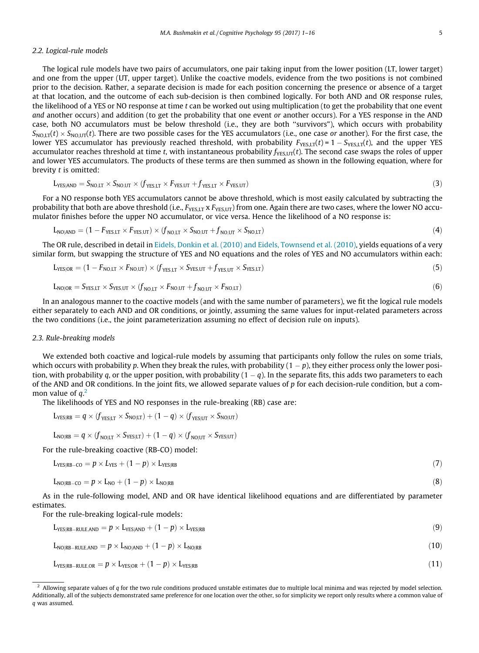### 2.2. Logical-rule models

The logical rule models have two pairs of accumulators, one pair taking input from the lower position (LT, lower target) and one from the upper (UT, upper target). Unlike the coactive models, evidence from the two positions is not combined prior to the decision. Rather, a separate decision is made for each position concerning the presence or absence of a target at that location, and the outcome of each sub-decision is then combined logically. For both AND and OR response rules, the likelihood of a YES or NO response at time  $t$  can be worked out using multiplication (to get the probability that one event and another occurs) and addition (to get the probability that one event or another occurs). For a YES response in the AND case, both NO accumulators must be below threshold (i.e., they are both ''survivors"), which occurs with probability  $S_{\text{NO,LT}}(t) \times S_{\text{NO,LT}}(t)$ . There are two possible cases for the YES accumulators (i.e., one case or another). For the first case, the lower YES accumulator has previously reached threshold, with probability  $F_{YES,LT}(t)=1 - S_{YES,LT}(t)$ , and the upper YES accumulator reaches threshold at time t, with instantaneous probability  $f_{YFSLIT}(t)$ . The second case swaps the roles of upper and lower YES accumulators. The products of these terms are then summed as shown in the following equation, where for brevity t is omitted:

$$
L_{\text{YES}(\text{AND})} = S_{\text{NO},LT} \times S_{\text{NO},UT} \times (f_{\text{YES},LT} \times F_{\text{YES},UT} + f_{\text{YES},LT} \times F_{\text{YES},UT})
$$
(3)

For a NO response both YES accumulators cannot be above threshold, which is most easily calculated by subtracting the probability that both are above threshold (i.e.,  $F_{YES,LT}$  x  $F_{YES,UT}$ ) from one. Again there are two cases, where the lower NO accumulator finishes before the upper NO accumulator, or vice versa. Hence the likelihood of a NO response is:

$$
L_{NO|AND} = (1 - F_{YES,LT} \times F_{YES,UT}) \times (f_{NO,LT} \times S_{NO,UT} + f_{NO,UT} \times S_{NO,LT})
$$
\n(4)

The OR rule, described in detail in [Eidels, Donkin et al. \(2010\) and Eidels, Townsend et al. \(2010\),](#page-14-0) yields equations of a very similar form, but swapping the structure of YES and NO equations and the roles of YES and NO accumulators within each:

$$
L_{\text{YES}|\text{OR}} = (1 - F_{\text{NO},LT} \times F_{\text{NO},UT}) \times (f_{\text{YES},LT} \times S_{\text{YES},UT} + f_{\text{YES},UT} \times S_{\text{YES},LT})
$$
\n
$$
(5)
$$

$$
L_{NO|OR} = S_{YES,LT} \times S_{YES,UT} \times (f_{NO,LT} \times F_{NO,UT} + f_{NO,UT} \times F_{NO,LT})
$$
\n(6)

In an analogous manner to the coactive models (and with the same number of parameters), we fit the logical rule models either separately to each AND and OR conditions, or jointly, assuming the same values for input-related parameters across the two conditions (i.e., the joint parameterization assuming no effect of decision rule on inputs).

### 2.3. Rule-breaking models

We extended both coactive and logical-rule models by assuming that participants only follow the rules on some trials, which occurs with probability p. When they break the rules, with probability  $(1 - p)$ , they either process only the lower position, with probability q, or the upper position, with probability  $(1 - q)$ . In the separate fits, this adds two parameters to each of the AND and OR conditions. In the joint fits, we allowed separate values of  $p$  for each decision-rule condition, but a common value of  $q<sup>2</sup>$ 

The likelihoods of YES and NO responses in the rule-breaking (RB) case are:

$$
L_{\text{YES}|\text{RB}} = q \times (f_{\text{YES}|\text{LT}} \times S_{\text{NO}|\text{LT}}) + (1 - q) \times (f_{\text{YES}|\text{UT}} \times S_{\text{NO}|\text{UT}})
$$

$$
L_{NO|RB} = q \times (f_{NO|LT} \times S_{YES|LT}) + (1 - q) \times (f_{NO|UT} \times S_{YES|UT})
$$

For the rule-breaking coactive (RB-CO) model:

$$
L_{\text{YES}|\text{RB}-\text{CO}} = p \times L_{\text{YES}} + (1-p) \times L_{\text{YES}|\text{RB}}
$$
\n(7)

 $L_{\text{NO/RB-CO}} = p \times L_{\text{NO}} + (1-p) \times L_{\text{NO/RB}}$ <sup>(8)</sup>

As in the rule-following model, AND and OR have identical likelihood equations and are differentiated by parameter estimates.

For the rule-breaking logical-rule models:

$$
L_{\text{YES}|\text{RB-RULE,AND}} = p \times L_{\text{YES}|\text{AND}} + (1 - p) \times L_{\text{YES}|\text{RB}}
$$
\n(9)

 $L_{\text{NO(RB-RULE,AND)}} = p \times L_{\text{NO(AND)}} + (1-p) \times L_{\text{NO(RB)}}$  (10)

$$
L_{\text{YES}|\text{RB}-\text{RULE,OR}} = p \times L_{\text{YES}|\text{OR}} + (1-p) \times L_{\text{YES}|\text{RB}}
$$
\n(11)

 $^2$  Allowing separate values of q for the two rule conditions produced unstable estimates due to multiple local minima and was rejected by model selection. Additionally, all of the subjects demonstrated same preference for one location over the other, so for simplicity we report only results where a common value of q was assumed.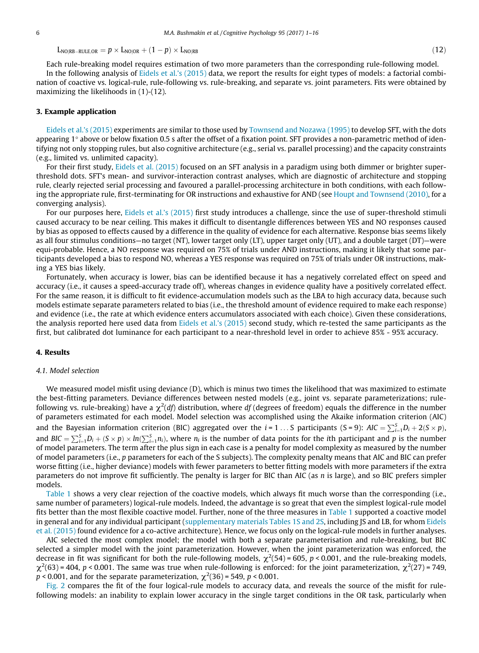$L_{\text{NO}|\text{RB-RULE OR}} = p \times L_{\text{NO}|\text{OR}} + (1-p) \times L_{\text{NO}|\text{RB}}$  (12)

Each rule-breaking model requires estimation of two more parameters than the corresponding rule-following model. In the following analysis of [Eidels et al.'s \(2015\)](#page-14-0) data, we report the results for eight types of models: a factorial combination of coactive vs. logical-rule, rule-following vs. rule-breaking, and separate vs. joint parameters. Fits were obtained by maximizing the likelihoods in (1)-(12).

#### 3. Example application

[Eidels et al.'s \(2015\)](#page-14-0) experiments are similar to those used by [Townsend and Nozawa \(1995\)](#page-15-0) to develop SFT, with the dots appearing  $1^\circ$  above or below fixation 0.5 s after the offset of a fixation point. SFT provides a non-parametric method of identifying not only stopping rules, but also cognitive architecture (e.g., serial vs. parallel processing) and the capacity constraints (e.g., limited vs. unlimited capacity).

For their first study, [Eidels et al. \(2015\)](#page-14-0) focused on an SFT analysis in a paradigm using both dimmer or brighter superthreshold dots. SFT's mean- and survivor-interaction contrast analyses, which are diagnostic of architecture and stopping rule, clearly rejected serial processing and favoured a parallel-processing architecture in both conditions, with each following the appropriate rule, first-terminating for OR instructions and exhaustive for AND (see [Houpt and Townsend \(2010\),](#page-14-0) for a converging analysis).

For our purposes here, [Eidels et al.'s \(2015\)](#page-14-0) first study introduces a challenge, since the use of super-threshold stimuli caused accuracy to be near ceiling. This makes it difficult to disentangle differences between YES and NO responses caused by bias as opposed to effects caused by a difference in the quality of evidence for each alternative. Response bias seems likely as all four stimulus conditions—no target (NT), lower target only (LT), upper target only (UT), and a double target (DT)—were equi-probable. Hence, a NO response was required on 75% of trials under AND instructions, making it likely that some participants developed a bias to respond NO, whereas a YES response was required on 75% of trials under OR instructions, making a YES bias likely.

Fortunately, when accuracy is lower, bias can be identified because it has a negatively correlated effect on speed and accuracy (i.e., it causes a speed-accuracy trade off), whereas changes in evidence quality have a positively correlated effect. For the same reason, it is difficult to fit evidence-accumulation models such as the LBA to high accuracy data, because such models estimate separate parameters related to bias (i.e., the threshold amount of evidence required to make each response) and evidence (i.e., the rate at which evidence enters accumulators associated with each choice). Given these considerations, the analysis reported here used data from [Eidels et al.'s \(2015\)](#page-14-0) second study, which re-tested the same participants as the first, but calibrated dot luminance for each participant to a near-threshold level in order to achieve 85% - 95% accuracy.

#### 4. Results

#### 4.1. Model selection

We measured model misfit using deviance (D), which is minus two times the likelihood that was maximized to estimate the best-fitting parameters. Deviance differences between nested models (e.g., joint vs. separate parameterizations; rulefollowing vs. rule-breaking) have a  $\chi^2(df)$  distribution, where  $df$  (degrees of freedom) equals the difference in the number of parameters estimated for each model. Model selection was accomplished using the Akaike information criterion (AIC) and the Bayesian information criterion (BIC) aggregated over the  $i=1...S$  participants (S = 9):  $AIC = \sum_{i=1}^{S} D_i + 2(S \times p)$ , and  $BIC = \sum_{i=1}^{S} D_i + (S \times p) \times ln(\sum_{i=1}^{S} n_i)$ , where  $n_i$  is the number of data points for the ith participant and p is the number of model parameters. The term after the plus sign in each case is a penalty for model complexity as measured by the number of model parameters (i.e., p parameters for each of the S subjects). The complexity penalty means that AIC and BIC can prefer worse fitting (i.e., higher deviance) models with fewer parameters to better fitting models with more parameters if the extra parameters do not improve fit sufficiently. The penalty is larger for BIC than AIC (as  $n$  is large), and so BIC prefers simpler models.

[Table 1](#page-6-0) shows a very clear rejection of the coactive models, which always fit much worse than the corresponding (i.e., same number of parameters) logical-rule models. Indeed, the advantage is so great that even the simplest logical-rule model fits better than the most flexible coactive model. Further, none of the three measures in [Table 1](#page-6-0) supported a coactive model in general and for any individual participant (supplementary materials Tables 1S and 2S, including JS and LB, for whom [Eidels](#page-14-0) [et al. \(2015\)](#page-14-0) found evidence for a co-active architecture). Hence, we focus only on the logical-rule models in further analyses.

AIC selected the most complex model; the model with both a separate parameterisation and rule-breaking, but BIC selected a simpler model with the joint parameterization. However, when the joint parameterization was enforced, the decrease in fit was significant for both the rule-following models,  $\chi^2(54)$  = 605, p < 0.001, and the rule-breaking models,  $\chi^2(63)$  = 404, p < 0.001. The same was true when rule-following is enforced: for the joint parameterization,  $\chi^2(27)$  = 749,  $p < 0.001$ , and for the separate parameterization,  $\chi^2(36)$  = 549, p < 0.001.

[Fig. 2](#page-6-0) compares the fit of the four logical-rule models to accuracy data, and reveals the source of the misfit for rulefollowing models: an inability to explain lower accuracy in the single target conditions in the OR task, particularly when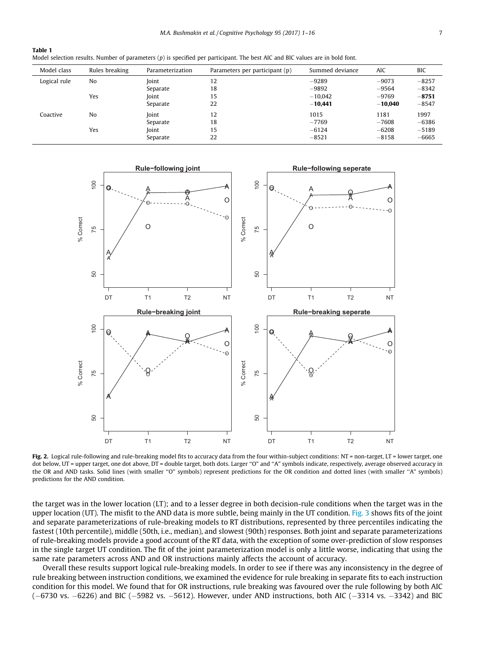<span id="page-6-0"></span>

| Table 1 |  |         |                                                                                                                                 |  |  |  |  |  |  |
|---------|--|---------|---------------------------------------------------------------------------------------------------------------------------------|--|--|--|--|--|--|
|         |  |         | Model selection results. Number of parameters $(p)$ is specified per participant. The best AIC and BIC values are in bold font. |  |  |  |  |  |  |
|         |  | _ _ _ _ |                                                                                                                                 |  |  |  |  |  |  |

| Model class  | Rules breaking | Parameterization | Parameters per participant (p) | Summed deviance | <b>AIC</b> | BIC     |
|--------------|----------------|------------------|--------------------------------|-----------------|------------|---------|
| Logical rule | No             | <b>Joint</b>     | 12                             | $-9289$         | $-9073$    | $-8257$ |
|              |                | Separate         | 18                             | $-9892$         | $-9564$    | $-8342$ |
|              | Yes            | Ioint            | 15                             | $-10.042$       | $-9769$    | $-8751$ |
|              |                | Separate         | 22                             | $-10,441$       | $-10.040$  | $-8547$ |
| Coactive     | No             | <b>Joint</b>     | 12                             | 1015            | 1181       | 1997    |
|              |                | Separate         | 18                             | $-7769$         | $-7608$    | $-6386$ |
|              | Yes            | Joint            | 15                             | $-6124$         | $-6208$    | $-5189$ |
|              |                | Separate         | 22                             | $-8521$         | $-8158$    | $-6665$ |



Fig. 2. Logical rule-following and rule-breaking model fits to accuracy data from the four within-subject conditions: NT = non-target, LT = lower target, one dot below, UT = upper target, one dot above, DT = double target, both dots. Larger "O" and "A" symbols indicate, respectively, average observed accuracy in the OR and AND tasks. Solid lines (with smaller "O" symbols) represent predictions for the OR condition and dotted lines (with smaller "A" symbols) predictions for the AND condition.

the target was in the lower location (LT); and to a lesser degree in both decision-rule conditions when the target was in the upper location (UT). The misfit to the AND data is more subtle, being mainly in the UT condition. [Fig. 3](#page-8-0) shows fits of the joint and separate parameterizations of rule-breaking models to RT distributions, represented by three percentiles indicating the fastest (10th percentile), middle (50th, i.e., median), and slowest (90th) responses. Both joint and separate parameterizations of rule-breaking models provide a good account of the RT data, with the exception of some over-prediction of slow responses in the single target UT condition. The fit of the joint parameterization model is only a little worse, indicating that using the same rate parameters across AND and OR instructions mainly affects the account of accuracy.

Overall these results support logical rule-breaking models. In order to see if there was any inconsistency in the degree of rule breaking between instruction conditions, we examined the evidence for rule breaking in separate fits to each instruction condition for this model. We found that for OR instructions, rule breaking was favoured over the rule following by both AIC  $(-6730 \text{ vs. } -6226)$  and BIC  $(-5982 \text{ vs. } -5612)$ . However, under AND instructions, both AIC  $(-3314 \text{ vs. } -3342)$  and BIC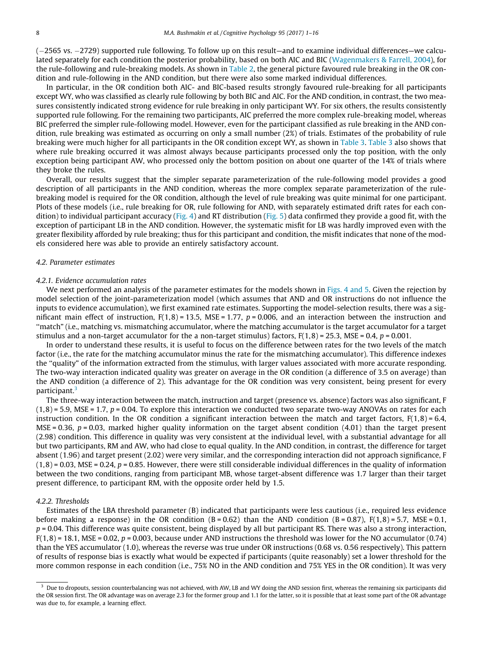(2565 vs. 2729) supported rule following. To follow up on this result—and to examine individual differences—we calculated separately for each condition the posterior probability, based on both AIC and BIC ([Wagenmakers & Farrell, 2004](#page-15-0)), for the rule-following and rule-breaking models. As shown in [Table 2](#page-8-0), the general picture favoured rule breaking in the OR condition and rule-following in the AND condition, but there were also some marked individual differences.

In particular, in the OR condition both AIC- and BIC-based results strongly favoured rule-breaking for all participants except WY, who was classified as clearly rule following by both BIC and AIC. For the AND condition, in contrast, the two measures consistently indicated strong evidence for rule breaking in only participant WY. For six others, the results consistently supported rule following. For the remaining two participants, AIC preferred the more complex rule-breaking model, whereas BIC preferred the simpler rule-following model. However, even for the participant classified as rule breaking in the AND condition, rule breaking was estimated as occurring on only a small number (2%) of trials. Estimates of the probability of rule breaking were much higher for all participants in the OR condition except WY, as shown in [Table 3.](#page-9-0) [Table 3](#page-9-0) also shows that where rule breaking occurred it was almost always because participants processed only the top position, with the only exception being participant AW, who processed only the bottom position on about one quarter of the 14% of trials where they broke the rules.

Overall, our results suggest that the simpler separate parameterization of the rule-following model provides a good description of all participants in the AND condition, whereas the more complex separate parameterization of the rulebreaking model is required for the OR condition, although the level of rule breaking was quite minimal for one participant. Plots of these models (i.e., rule breaking for OR, rule following for AND, with separately estimated drift rates for each con-dition) to individual participant accuracy [\(Fig. 4](#page-9-0)) and RT distribution ([Fig. 5\)](#page-10-0) data confirmed they provide a good fit, with the exception of participant LB in the AND condition. However, the systematic misfit for LB was hardly improved even with the greater flexibility afforded by rule breaking; thus for this participant and condition, the misfit indicates that none of the models considered here was able to provide an entirely satisfactory account.

#### 4.2. Parameter estimates

#### 4.2.1. Evidence accumulation rates

We next performed an analysis of the parameter estimates for the models shown in [Figs. 4 and 5](#page-9-0). Given the rejection by model selection of the joint-parameterization model (which assumes that AND and OR instructions do not influence the inputs to evidence accumulation), we first examined rate estimates. Supporting the model-selection results, there was a significant main effect of instruction,  $F(1, 8) = 13.5$ , MSE = 1.77,  $p = 0.006$ , and an interaction between the instruction and ''match" (i.e., matching vs. mismatching accumulator, where the matching accumulator is the target accumulator for a target stimulus and a non-target accumulator for the a non-target stimulus) factors,  $F(1, 8) = 25.3$ , MSE = 0.4, p = 0.001.

In order to understand these results, it is useful to focus on the difference between rates for the two levels of the match factor (i.e., the rate for the matching accumulator minus the rate for the mismatching accumulator). This difference indexes the ''quality" of the information extracted from the stimulus, with larger values associated with more accurate responding. The two-way interaction indicated quality was greater on average in the OR condition (a difference of 3.5 on average) than the AND condition (a difference of 2). This advantage for the OR condition was very consistent, being present for every participant.<sup>3</sup>

The three-way interaction between the match, instruction and target (presence vs. absence) factors was also significant, F  $(1.8) = 5.9$ . MSE = 1.7,  $p = 0.04$ . To explore this interaction we conducted two separate two-way ANOVAs on rates for each instruction condition. In the OR condition a significant interaction between the match and target factors,  $F(1,8) = 6.4$ , MSE = 0.36,  $p = 0.03$ , marked higher quality information on the target absent condition (4.01) than the target present (2.98) condition. This difference in quality was very consistent at the individual level, with a substantial advantage for all but two participants, RM and AW, who had close to equal quality. In the AND condition, in contrast, the difference for target absent (1.96) and target present (2.02) were very similar, and the corresponding interaction did not approach significance, F  $(1,8)$  = 0.03, MSE = 0.24,  $p$  = 0.85. However, there were still considerable individual differences in the quality of information between the two conditions, ranging from participant MB, whose target-absent difference was 1.7 larger than their target present difference, to participant RM, with the opposite order held by 1.5.

#### 4.2.2. Thresholds

Estimates of the LBA threshold parameter (B) indicated that participants were less cautious (i.e., required less evidence before making a response) in the OR condition  $(B = 0.62)$  than the AND condition  $(B = 0.87)$ ,  $F(1, 8) = 5.7$ , MSE = 0.1,  $p = 0.04$ . This difference was quite consistent, being displayed by all but participant RS. There was also a strong interaction,  $F(1,8) = 18.1$ , MSE = 0.02, p = 0.003, because under AND instructions the threshold was lower for the NO accumulator (0.74) than the YES accumulator (1.0), whereas the reverse was true under OR instructions (0.68 vs. 0.56 respectively). This pattern of results of response bias is exactly what would be expected if participants (quite reasonably) set a lower threshold for the more common response in each condition (i.e., 75% NO in the AND condition and 75% YES in the OR condition). It was very

 $3$  Due to dropouts, session counterbalancing was not achieved, with AW, LB and WY doing the AND session first, whereas the remaining six participants did the OR session first. The OR advantage was on average 2.3 for the former group and 1.1 for the latter, so it is possible that at least some part of the OR advantage was due to, for example, a learning effect.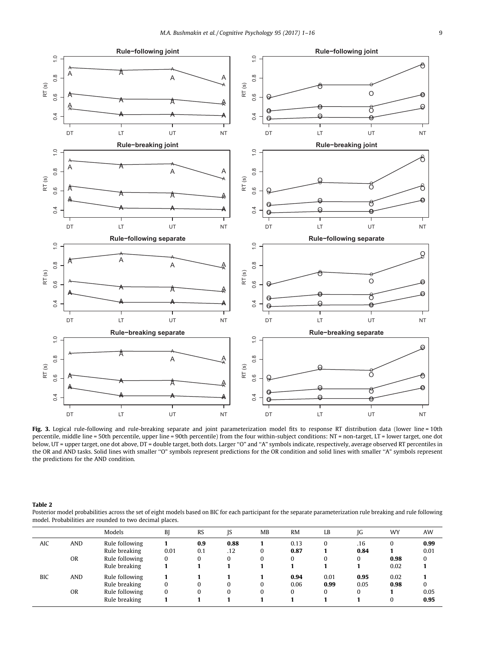<span id="page-8-0"></span>

Fig. 3. Logical rule-following and rule-breaking separate and joint parameterization model fits to response RT distribution data (lower line = 10th percentile, middle line = 50th percentile, upper line = 90th percentile) from the four within-subject conditions: NT = non-target, LT = lower target, one dot below, UT = upper target, one dot above, DT = double target, both dots. Larger ''O" and ''A" symbols indicate, respectively, average observed RT percentiles in the OR and AND tasks. Solid lines with smaller ''O" symbols represent predictions for the OR condition and solid lines with smaller ''A" symbols represent the predictions for the AND condition.

Table 2

Posterior model probabilities across the set of eight models based on BIC for each participant for the separate parameterization rule breaking and rule following model. Probabilities are rounded to two decimal places.

|            |            | Models         | B        | <b>RS</b> | IS   | MB       | <b>RM</b> | LB       | IG       | WY       | AW       |
|------------|------------|----------------|----------|-----------|------|----------|-----------|----------|----------|----------|----------|
| AIC        | <b>AND</b> | Rule following |          | 0.9       | 0.88 |          | 0.13      |          | .16      | $\Omega$ | 0.99     |
|            |            | Rule breaking  | 0.01     | 0.1       | .12  | 0        | 0.87      |          | 0.84     |          | 0.01     |
|            | <b>OR</b>  | Rule following | 0        | 0         | 0    |          | $\Omega$  | 0        | 0        | 0.98     | $\bf{0}$ |
|            |            | Rule breaking  |          |           |      |          |           |          |          | 0.02     |          |
| <b>BIC</b> | <b>AND</b> | Rule following |          |           |      |          | 0.94      | 0.01     | 0.95     | 0.02     |          |
|            |            | Rule breaking  | 0        | $\bf{0}$  | 0    | $\Omega$ | 0.06      | 0.99     | 0.05     | 0.98     | $\bf{0}$ |
|            | <b>OR</b>  | Rule following | $\bf{0}$ | $\bf{0}$  | 0    |          | $\Omega$  | $\Omega$ | $\Omega$ |          | 0.05     |
|            |            | Rule breaking  |          |           |      |          |           |          |          | $\Omega$ | 0.95     |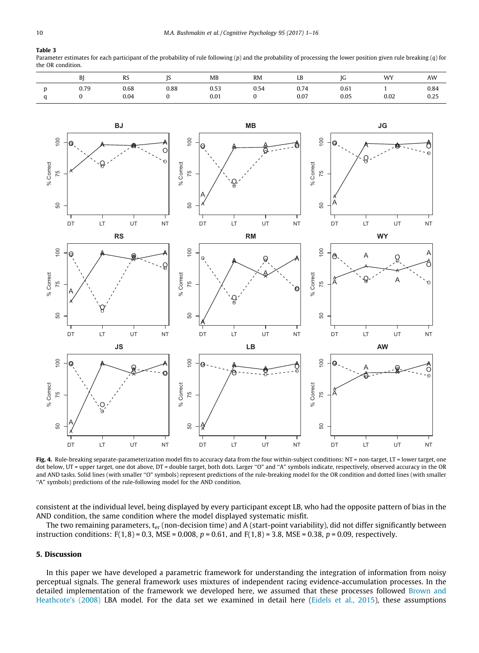## <span id="page-9-0"></span>Table 3

Parameter estimates for each participant of the probability of rule following  $(p)$  and the probability of processing the lower position given rule breaking  $(q)$  for the OR condition.

| BI   | RS           |      | MB           | RM   | ΙD<br>ГR     |              | WY<br>. | AW           |
|------|--------------|------|--------------|------|--------------|--------------|---------|--------------|
| 0.79 | 0.68<br>0.04 | 0.88 | 0.53<br>0.01 | 0.54 | 0.74<br>0.07 | 0.61<br>0.05 | 0.02    | 0.84<br>0.25 |



Fig. 4. Rule-breaking separate-parameterization model fits to accuracy data from the four within-subject conditions: NT = non-target, LT = lower target, one dot below, UT = upper target, one dot above, DT = double target, both dots. Larger ''O" and ''A" symbols indicate, respectively, observed accuracy in the OR and AND tasks. Solid lines (with smaller ''O" symbols) represent predictions of the rule-breaking model for the OR condition and dotted lines (with smaller "A" symbols) predictions of the rule-following model for the AND condition.

consistent at the individual level, being displayed by every participant except LB, who had the opposite pattern of bias in the AND condition, the same condition where the model displayed systematic misfit.

The two remaining parameters,  $t_{\rm er}$  (non-decision time) and A (start-point variability), did not differ significantly between instruction conditions:  $F(1, 8) = 0.3$ , MSE = 0.008, p = 0.61, and  $F(1, 8) = 3.8$ , MSE = 0.38, p = 0.09, respectively.

# 5. Discussion

In this paper we have developed a parametric framework for understanding the integration of information from noisy perceptual signals. The general framework uses mixtures of independent racing evidence-accumulation processes. In the detailed implementation of the framework we developed here, we assumed that these processes followed [Brown and](#page-14-0) [Heathcote's \(2008\)](#page-14-0) LBA model. For the data set we examined in detail here [\(Eidels et al., 2015](#page-14-0)), these assumptions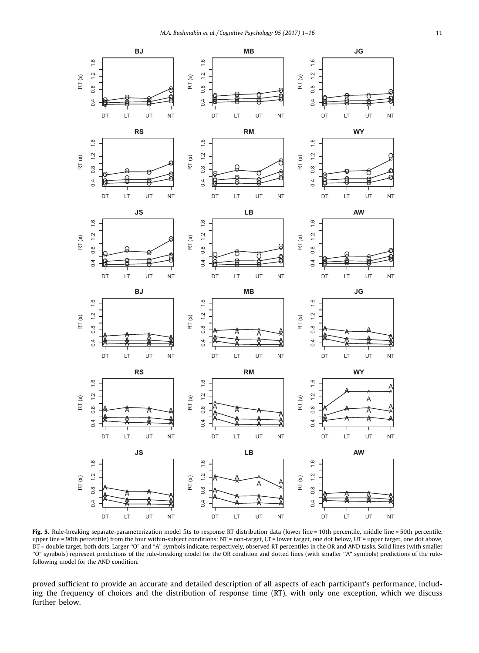<span id="page-10-0"></span>

Fig. 5. Rule-breaking separate-parameterization model fits to response RT distribution data (lower line = 10th percentile, middle line = 50th percentile, upper line = 90th percentile) from the four within-subject conditions: NT = non-target, LT = lower target, one dot below, UT = upper target, one dot above, DT = double target, both dots. Larger "O" and "A" symbols indicate, respectively, observed RT percentiles in the OR and AND tasks. Solid lines (with smaller ''O" symbols) represent predictions of the rule-breaking model for the OR condition and dotted lines (with smaller ''A" symbols) predictions of the rulefollowing model for the AND condition.

proved sufficient to provide an accurate and detailed description of all aspects of each participant's performance, including the frequency of choices and the distribution of response time (RT), with only one exception, which we discuss further below.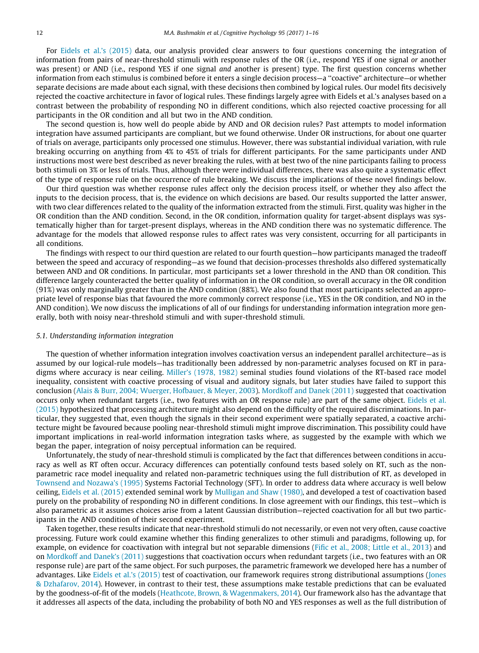For [Eidels et al.'s \(2015\)](#page-14-0) data, our analysis provided clear answers to four questions concerning the integration of information from pairs of near-threshold stimuli with response rules of the OR (i.e., respond YES if one signal or another was present) or AND (i.e., respond YES if one signal and another is present) type. The first question concerns whether information from each stimulus is combined before it enters a single decision process—a ''coactive" architecture—or whether separate decisions are made about each signal, with these decisions then combined by logical rules. Our model fits decisively rejected the coactive architecture in favor of logical rules. These findings largely agree with Eidels et al.'s analyses based on a contrast between the probability of responding NO in different conditions, which also rejected coactive processing for all participants in the OR condition and all but two in the AND condition.

The second question is, how well do people abide by AND and OR decision rules? Past attempts to model information integration have assumed participants are compliant, but we found otherwise. Under OR instructions, for about one quarter of trials on average, participants only processed one stimulus. However, there was substantial individual variation, with rule breaking occurring on anything from 4% to 45% of trials for different participants. For the same participants under AND instructions most were best described as never breaking the rules, with at best two of the nine participants failing to process both stimuli on 3% or less of trials. Thus, although there were individual differences, there was also quite a systematic effect of the type of response rule on the occurrence of rule breaking. We discuss the implications of these novel findings below.

Our third question was whether response rules affect only the decision process itself, or whether they also affect the inputs to the decision process, that is, the evidence on which decisions are based. Our results supported the latter answer, with two clear differences related to the quality of the information extracted from the stimuli. First, quality was higher in the OR condition than the AND condition. Second, in the OR condition, information quality for target-absent displays was systematically higher than for target-present displays, whereas in the AND condition there was no systematic difference. The advantage for the models that allowed response rules to affect rates was very consistent, occurring for all participants in all conditions.

The findings with respect to our third question are related to our fourth question—how participants managed the tradeoff between the speed and accuracy of responding—as we found that decision-processes thresholds also differed systematically between AND and OR conditions. In particular, most participants set a lower threshold in the AND than OR condition. This difference largely counteracted the better quality of information in the OR condition, so overall accuracy in the OR condition (91%) was only marginally greater than in the AND condition (88%). We also found that most participants selected an appropriate level of response bias that favoured the more commonly correct response (i.e., YES in the OR condition, and NO in the AND condition). We now discuss the implications of all of our findings for understanding information integration more generally, both with noisy near-threshold stimuli and with super-threshold stimuli.

#### 5.1. Understanding information integration

The question of whether information integration involves coactivation versus an independent parallel architecture—as is assumed by our logical-rule models—has traditionally been addressed by non-parametric analyses focused on RT in paradigms where accuracy is near ceiling. [Miller's \(1978, 1982\)](#page-14-0) seminal studies found violations of the RT-based race model inequality, consistent with coactive processing of visual and auditory signals, but later studies have failed to support this conclusion ([Alais & Burr, 2004; Wuerger, Hofbauer, & Meyer, 2003\)](#page-14-0). [Mordkoff and Danek \(2011\)](#page-14-0) suggested that coactivation occurs only when redundant targets (i.e., two features with an OR response rule) are part of the same object. [Eidels et al.](#page-14-0) [\(2015\)](#page-14-0) hypothesized that processing architecture might also depend on the difficulty of the required discriminations. In particular, they suggested that, even though the signals in their second experiment were spatially separated, a coactive architecture might be favoured because pooling near-threshold stimuli might improve discrimination. This possibility could have important implications in real-world information integration tasks where, as suggested by the example with which we began the paper, integration of noisy perceptual information can be required.

Unfortunately, the study of near-threshold stimuli is complicated by the fact that differences between conditions in accuracy as well as RT often occur. Accuracy differences can potentially confound tests based solely on RT, such as the nonparametric race model inequality and related non-parametric techniques using the full distribution of RT, as developed in [Townsend and Nozawa's \(1995\)](#page-15-0) Systems Factorial Technology (SFT). In order to address data where accuracy is well below ceiling, [Eidels et al. \(2015\)](#page-14-0) extended seminal work by [Mulligan and Shaw \(1980\),](#page-14-0) and developed a test of coactivation based purely on the probability of responding NO in different conditions. In close agreement with our findings, this test—which is also parametric as it assumes choices arise from a latent Gaussian distribution—rejected coactivation for all but two participants in the AND condition of their second experiment.

Taken together, these results indicate that near-threshold stimuli do not necessarily, or even not very often, cause coactive processing. Future work could examine whether this finding generalizes to other stimuli and paradigms, following up, for example, on evidence for coactivation with integral but not separable dimensions ([Fific et al., 2008; Little et al., 2013\)](#page-14-0) and on [Mordkoff and Danek's \(2011\)](#page-14-0) suggestions that coactivation occurs when redundant targets (i.e., two features with an OR response rule) are part of the same object. For such purposes, the parametric framework we developed here has a number of advantages. Like [Eidels et al.'s \(2015\)](#page-14-0) test of coactivation, our framework requires strong distributional assumptions [\(Jones](#page-14-0) [& Dzhafarov, 2014\)](#page-14-0). However, in contrast to their test, these assumptions make testable predictions that can be evaluated by the goodness-of-fit of the models [\(Heathcote, Brown, & Wagenmakers, 2014](#page-14-0)). Our framework also has the advantage that it addresses all aspects of the data, including the probability of both NO and YES responses as well as the full distribution of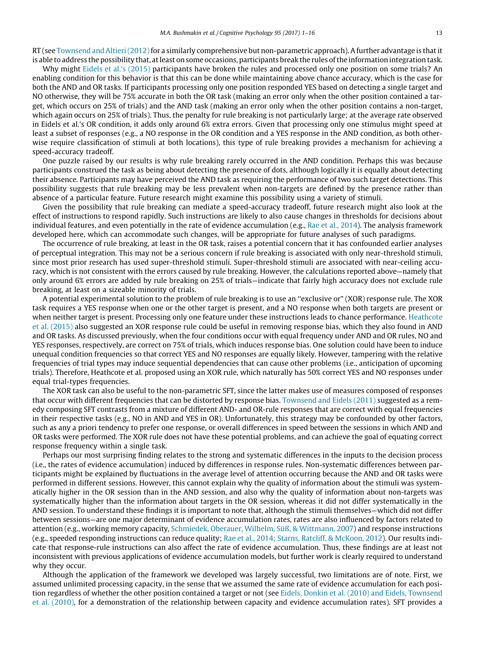$RT$  (see [Townsend and Altieri \(2012\)](#page-15-0) for a similarly comprehensive but non-parametric approach). A further advantage is that it is able to address the possibility that, at least on some occasions, participants break the rules of the information integration task.

Why might [Eidels et al.'s \(2015\)](#page-14-0) participants have broken the rules and processed only one position on some trials? An enabling condition for this behavior is that this can be done while maintaining above chance accuracy, which is the case for both the AND and OR tasks. If participants processing only one position responded YES based on detecting a single target and NO otherwise, they will be 75% accurate in both the OR task (making an error only when the other position contained a target, which occurs on 25% of trials) and the AND task (making an error only when the other position contains a non-target, which again occurs on 25% of trials). Thus, the penalty for rule breaking is not particularly large; at the average rate observed in Eidels et al.'s OR condition, it adds only around 6% extra errors. Given that processing only one stimulus might speed at least a subset of responses (e.g., a NO response in the OR condition and a YES response in the AND condition, as both otherwise require classification of stimuli at both locations), this type of rule breaking provides a mechanism for achieving a speed-accuracy tradeoff.

One puzzle raised by our results is why rule breaking rarely occurred in the AND condition. Perhaps this was because participants construed the task as being about detecting the presence of dots, although logically it is equally about detecting their absence. Participants may have perceived the AND task as requiring the performance of two such target detections. This possibility suggests that rule breaking may be less prevalent when non-targets are defined by the presence rather than absence of a particular feature. Future research might examine this possibility using a variety of stimuli.

Given the possibility that rule breaking can mediate a speed-accuracy tradeoff, future research might also look at the effect of instructions to respond rapidly. Such instructions are likely to also cause changes in thresholds for decisions about individual features, and even potentially in the rate of evidence accumulation (e.g., [Rae et al., 2014](#page-14-0)). The analysis framework developed here, which can accommodate such changes, will be appropriate for future analyses of such paradigms.

The occurrence of rule breaking, at least in the OR task, raises a potential concern that it has confounded earlier analyses of perceptual integration. This may not be a serious concern if rule breaking is associated with only near-threshold stimuli, since most prior research has used super-threshold stimuli. Super-threshold stimuli are associated with near-ceiling accuracy, which is not consistent with the errors caused by rule breaking. However, the calculations reported above—namely that only around 6% errors are added by rule breaking on 25% of trials—indicate that fairly high accuracy does not exclude rule breaking, at least on a sizeable minority of trials.

A potential experimental solution to the problem of rule breaking is to use an ''exclusive or" (XOR) response rule. The XOR task requires a YES response when one or the other target is present, and a NO response when both targets are present or when neither target is present. Processing only one feature under these instructions leads to chance performance. [Heathcote](#page-14-0) [et al. \(2015\)](#page-14-0) also suggested an XOR response rule could be useful in removing response bias, which they also found in AND and OR tasks. As discussed previously, when the four conditions occur with equal frequency under AND and OR rules, NO and YES responses, respectively, are correct on 75% of trials, which induces response bias. One solution could have been to induce unequal condition frequencies so that correct YES and NO responses are equally likely. However, tampering with the relative frequencies of trial types may induce sequential dependencies that can cause other problems (i.e., anticipation of upcoming trials). Therefore, Heathcote et al. proposed using an XOR rule, which naturally has 50% correct YES and NO responses under equal trial-types frequencies.

The XOR task can also be useful to the non-parametric SFT, since the latter makes use of measures composed of responses that occur with different frequencies that can be distorted by response bias. [Townsend and Eidels \(2011\)](#page-15-0) suggested as a remedy composing SFT contrasts from a mixture of different AND- and OR-rule responses that are correct with equal frequencies in their respective tasks (e.g., NO in AND and YES in OR). Unfortunately, this strategy may be confounded by other factors, such as any a priori tendency to prefer one response, or overall differences in speed between the sessions in which AND and OR tasks were performed. The XOR rule does not have these potential problems, and can achieve the goal of equating correct response frequency within a single task.

Perhaps our most surprising finding relates to the strong and systematic differences in the inputs to the decision process (i.e., the rates of evidence accumulation) induced by differences in response rules. Non-systematic differences between participants might be explained by fluctuations in the average level of attention occurring because the AND and OR tasks were performed in different sessions. However, this cannot explain why the quality of information about the stimuli was systematically higher in the OR session than in the AND session, and also why the quality of information about non-targets was systematically higher than the information about targets in the OR session, whereas it did not differ systematically in the AND session. To understand these findings it is important to note that, although the stimuli themselves—which did not differ between sessions—are one major determinant of evidence accumulation rates, rates are also influenced by factors related to attention (e.g., working memory capacity, [Schmiedek, Oberauer, Wilhelm, Süß, & Wittmann, 2007\)](#page-14-0) and response instructions (e.g., speeded responding instructions can reduce quality; [Rae et al., 2014; Starns, Ratcliff, & McKoon, 2012\)](#page-14-0). Our results indicate that response-rule instructions can also affect the rate of evidence accumulation. Thus, these findings are at least not inconsistent with previous applications of evidence accumulation models, but further work is clearly required to understand why they occur.

Although the application of the framework we developed was largely successful, two limitations are of note. First, we assumed unlimited processing capacity, in the sense that we assumed the same rate of evidence accumulation for each position regardless of whether the other position contained a target or not (see [Eidels, Donkin et al. \(2010\) and Eidels, Townsend](#page-14-0) [et al. \(2010\),](#page-14-0) for a demonstration of the relationship between capacity and evidence accumulation rates). SFT provides a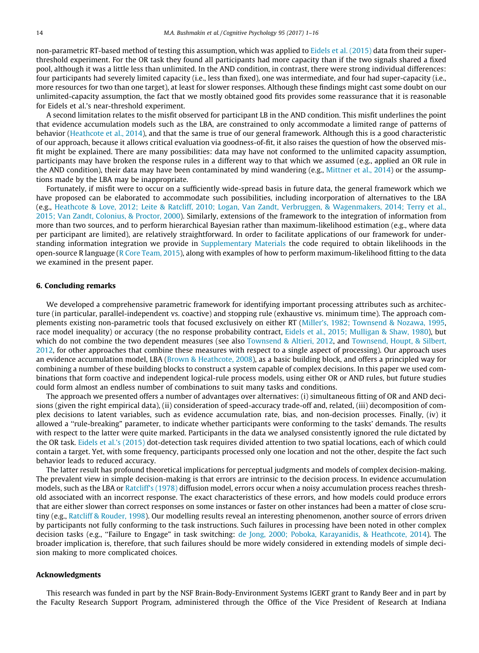non-parametric RT-based method of testing this assumption, which was applied to [Eidels et al. \(2015\)](#page-14-0) data from their superthreshold experiment. For the OR task they found all participants had more capacity than if the two signals shared a fixed pool, although it was a little less than unlimited. In the AND condition, in contrast, there were strong individual differences: four participants had severely limited capacity (i.e., less than fixed), one was intermediate, and four had super-capacity (i.e., more resources for two than one target), at least for slower responses. Although these findings might cast some doubt on our unlimited-capacity assumption, the fact that we mostly obtained good fits provides some reassurance that it is reasonable for Eidels et al.'s near-threshold experiment.

A second limitation relates to the misfit observed for participant LB in the AND condition. This misfit underlines the point that evidence accumulation models such as the LBA, are constrained to only accommodate a limited range of patterns of behavior ([Heathcote et al., 2014\)](#page-14-0), and that the same is true of our general framework. Although this is a good characteristic of our approach, because it allows critical evaluation via goodness-of-fit, it also raises the question of how the observed misfit might be explained. There are many possibilities: data may have not conformed to the unlimited capacity assumption, participants may have broken the response rules in a different way to that which we assumed (e.g., applied an OR rule in the AND condition), their data may have been contaminated by mind wandering (e.g., [Mittner et al., 2014](#page-14-0)) or the assumptions made by the LBA may be inappropriate.

Fortunately, if misfit were to occur on a sufficiently wide-spread basis in future data, the general framework which we have proposed can be elaborated to accommodate such possibilities, including incorporation of alternatives to the LBA (e.g., [Heathcote & Love, 2012; Leite & Ratcliff, 2010; Logan, Van Zandt, Verbruggen, & Wagenmakers, 2014; Terry et al.,](#page-14-0) [2015; Van Zandt, Colonius, & Proctor, 2000\)](#page-14-0). Similarly, extensions of the framework to the integration of information from more than two sources, and to perform hierarchical Bayesian rather than maximum-likelihood estimation (e.g., where data per participant are limited), are relatively straightforward. In order to facilitate applications of our framework for understanding information integration we provide in Supplementary Materials the code required to obtain likelihoods in the open-source R language [\(R Core Team, 2015\)](#page-14-0), along with examples of how to perform maximum-likelihood fitting to the data we examined in the present paper.

#### 6. Concluding remarks

We developed a comprehensive parametric framework for identifying important processing attributes such as architecture (in particular, parallel-independent vs. coactive) and stopping rule (exhaustive vs. minimum time). The approach complements existing non-parametric tools that focused exclusively on either RT [\(Miller's, 1982; Townsend & Nozawa, 1995,](#page-14-0) race model inequality) or accuracy (the no response probability contract, [Eidels et al., 2015; Mulligan & Shaw, 1980\)](#page-14-0), but which do not combine the two dependent measures (see also [Townsend & Altieri, 2012,](#page-15-0) and [Townsend, Houpt, & Silbert,](#page-15-0) [2012](#page-15-0), for other approaches that combine these measures with respect to a single aspect of processing). Our approach uses an evidence accumulation model, LBA [\(Brown & Heathcote, 2008](#page-14-0)), as a basic building block, and offers a principled way for combining a number of these building blocks to construct a system capable of complex decisions. In this paper we used combinations that form coactive and independent logical-rule process models, using either OR or AND rules, but future studies could form almost an endless number of combinations to suit many tasks and conditions.

The approach we presented offers a number of advantages over alternatives: (i) simultaneous fitting of OR and AND decisions (given the right empirical data), (ii) consideration of speed-accuracy trade-off and, related, (iii) decomposition of complex decisions to latent variables, such as evidence accumulation rate, bias, and non-decision processes. Finally, (iv) it allowed a ''rule-breaking" parameter, to indicate whether participants were conforming to the tasks' demands. The results with respect to the latter were quite marked. Participants in the data we analysed consistently ignored the rule dictated by the OR task. [Eidels et al.'s \(2015\)](#page-14-0) dot-detection task requires divided attention to two spatial locations, each of which could contain a target. Yet, with some frequency, participants processed only one location and not the other, despite the fact such behavior leads to reduced accuracy.

The latter result has profound theoretical implications for perceptual judgments and models of complex decision-making. The prevalent view in simple decision-making is that errors are intrinsic to the decision process. In evidence accumulation models, such as the LBA or [Ratcliff's \(1978\)](#page-14-0) diffusion model, errors occur when a noisy accumulation process reaches threshold associated with an incorrect response. The exact characteristics of these errors, and how models could produce errors that are either slower than correct responses on some instances or faster on other instances had been a matter of close scrutiny (e.g., [Ratcliff & Rouder, 1998](#page-14-0)). Our modelling results reveal an interesting phenomenon, another source of errors driven by participants not fully conforming to the task instructions. Such failures in processing have been noted in other complex decision tasks (e.g., ''Failure to Engage" in task switching: [de Jong, 2000; Poboka, Karayanidis, & Heathcote, 2014](#page-14-0)). The broader implication is, therefore, that such failures should be more widely considered in extending models of simple decision making to more complicated choices.

#### Acknowledgments

This research was funded in part by the NSF Brain-Body-Environment Systems IGERT grant to Randy Beer and in part by the Faculty Research Support Program, administered through the Office of the Vice President of Research at Indiana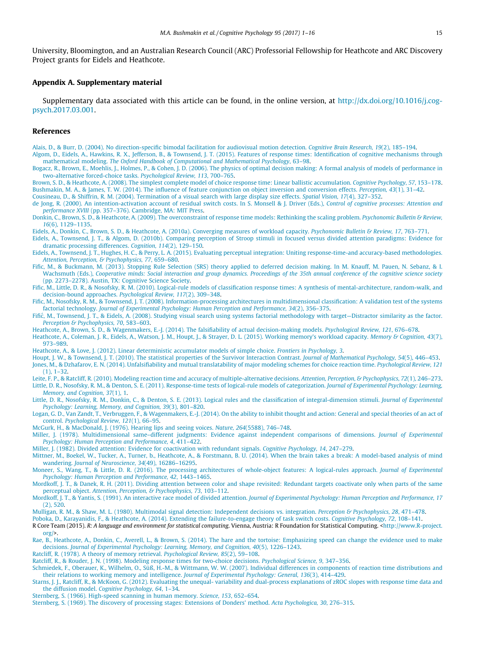<span id="page-14-0"></span>University, Bloomington, and an Australian Research Council (ARC) Professorial Fellowship for Heathcote and ARC Discovery Project grants for Eidels and Heathcote.

#### Appendix A. Supplementary material

Supplementary data associated with this article can be found, in the online version, at [http://dx.doi.org/10.1016/j.cog](http://dx.doi.org/10.1016/j.cogpsych.2017.03.001)[psych.2017.03.001](http://dx.doi.org/10.1016/j.cogpsych.2017.03.001).

#### References

[Alais, D., & Burr, D. \(2004\). No direction-specific bimodal facilitation for audiovisual motion detection.](http://refhub.elsevier.com/S0010-0285(16)30025-1/h0005) Cognitive Brain Research, 19(2), 185–194.

[Algom, D., Eidels, A., Hawkins, R. X., Jefferson, B., & Townsend, J. T. \(2015\). Features of response times: Identification of cognitive mechanisms through](http://refhub.elsevier.com/S0010-0285(16)30025-1/h0010) mathematical modeling. [The Oxford Handbook of Computational and Mathematical Psychology](http://refhub.elsevier.com/S0010-0285(16)30025-1/h0010), 63–98.

[Bogacz, R., Brown, E., Moehlis, J., Holmes, P., & Cohen, J. D. \(2006\). The physics of optimal decision making: A formal analysis of models of performance in](http://refhub.elsevier.com/S0010-0285(16)30025-1/h0015) [two-alternative forced-choice tasks.](http://refhub.elsevier.com/S0010-0285(16)30025-1/h0015) Psychological Review, 113, 700–765.

[Brown, S. D., & Heathcote, A. \(2008\). The simplest complete model of choice response time: Linear ballistic accumulation.](http://refhub.elsevier.com/S0010-0285(16)30025-1/h0020) Cognitive Psychology, 57, 153–178. [Bushmakin, M. A., & James, T. W. \(2014\). The influence of feature conjunction on object inversion and conversion effects.](http://refhub.elsevier.com/S0010-0285(16)30025-1/h0025) Perception, 43(1), 31–42.

[Cousineau, D., & Shiffrin, R. M. \(2004\). Termination of a visual search with large display size effects.](http://refhub.elsevier.com/S0010-0285(16)30025-1/h0030) Spatial Vision, 17(4), 327–352.

[de Jong, R. \(2000\). An intention-activation account of residual switch costs. In S. Monsell & J. Driver \(Eds.\),](http://refhub.elsevier.com/S0010-0285(16)30025-1/h0035) Control of cognitive processes: Attention and performance XVIII [\(pp. 357–376\). Cambridge, MA: MIT Press.](http://refhub.elsevier.com/S0010-0285(16)30025-1/h0035)

[Donkin, C., Brown, S. D., & Heathcote, A. \(2009\). The overconstraint of response time models: Rethinking the scaling problem.](http://refhub.elsevier.com/S0010-0285(16)30025-1/h0040) Psychonomic Bulletin & Review, 16[\(6\), 1129–1135.](http://refhub.elsevier.com/S0010-0285(16)30025-1/h0040)

[Eidels, A., Donkin, C., Brown, S. D., & Heathcote, A. \(2010a\). Converging measures of workload capacity.](http://refhub.elsevier.com/S0010-0285(16)30025-1/h0045) Psychonomic Bulletin & Review, 17, 763–771.

[Eidels, A., Townsend, J. T., & Algom, D. \(2010b\). Comparing perception of Stroop stimuli in focused versus divided attention paradigms: Evidence for](http://refhub.elsevier.com/S0010-0285(16)30025-1/h0050) [dramatic processing differences.](http://refhub.elsevier.com/S0010-0285(16)30025-1/h0050) Cognition, 114(2), 129–150.

- [Eidels, A., Townsend, J. T., Hughes, H. C., & Perry, L. A. \(2015\). Evaluating perceptual integration: Uniting response-time-and accuracy-based methodologies.](http://refhub.elsevier.com/S0010-0285(16)30025-1/h0055) [Attention, Perception, & Psychophysics, 77](http://refhub.elsevier.com/S0010-0285(16)30025-1/h0055), 659–680.
- [Fific, M., & Buckmann, M. \(2013\). Stopping Rule Selection \(SRS\) theory applied to deferred decision making. In M. Knauff, M. Pauen, N. Sebanz, & I.](http://refhub.elsevier.com/S0010-0285(16)30025-1/h0060) Wachsmuth (Eds.), [Cooperative minds: Social interaction and group dynamics. Proceedings of the 35th annual conference of the cognitive science society](http://refhub.elsevier.com/S0010-0285(16)30025-1/h0060) [\(pp. 2273–2278\). Austin, TX: Cognitive Science Society.](http://refhub.elsevier.com/S0010-0285(16)30025-1/h0060)
- [Fific, M., Little, D. R., & Nosofsky, R. M. \(2010\). Logical-rule models of classification response times: A synthesis of mental-architecture, random-walk, and](http://refhub.elsevier.com/S0010-0285(16)30025-1/h0065) [decision-bound approaches.](http://refhub.elsevier.com/S0010-0285(16)30025-1/h0065) Psychological Review, 117(2), 309–348.

[Fific, M., Nosofsky, R. M., & Townsend, J. T. \(2008\). Information-processing architectures in multidimensional classification: A validation test of](http://refhub.elsevier.com/S0010-0285(16)30025-1/h0070) the systems factorial technology. [Journal of Experimental Psychology: Human Perception and Performance, 34](http://refhub.elsevier.com/S0010-0285(16)30025-1/h0070)(2), 356–375.

[Fific´, M., Townsend, J. T., & Eidels, A. \(2008\). Studying visual search using systems factorial methodology with target—Distractor similarity as the factor.](http://refhub.elsevier.com/S0010-0285(16)30025-1/h0075) [Perception & Psychophysics, 70](http://refhub.elsevier.com/S0010-0285(16)30025-1/h0075), 583–603.

[Heathcote, A., Brown, S. D., & Wagenmakers, E.-J. \(2014\). The falsifiability of actual decision-making models.](http://refhub.elsevier.com/S0010-0285(16)30025-1/h0080) Psychological Review, 121, 676–678.

[Heathcote, A., Coleman, J. R., Eidels, A., Watson, J. M., Houpt, J., & Strayer, D. L. \(2015\). Working memory's workload capacity.](http://refhub.elsevier.com/S0010-0285(16)30025-1/h0085) Memory & Cognition, 43(7), [973–989.](http://refhub.elsevier.com/S0010-0285(16)30025-1/h0085)

[Heathcote, A., & Love, J. \(2012\). Linear deterministic accumulator models of simple choice.](http://refhub.elsevier.com/S0010-0285(16)30025-1/h0090) Frontiers in Psychology, 3.

- [Houpt, J. W., & Townsend, J. T. \(2010\). The statistical properties of the Survivor Interaction Contrast.](http://refhub.elsevier.com/S0010-0285(16)30025-1/h0095) Journal of Mathematical Psychology, 54(5), 446–453. [Jones, M., & Dzhafarov, E. N. \(2014\). Unfalsifiability and mutual translatability of major modeling schemes for choice reaction time.](http://refhub.elsevier.com/S0010-0285(16)30025-1/h0100) Psychological Review, 121 [\(1\), 1–32](http://refhub.elsevier.com/S0010-0285(16)30025-1/h0100).
- [Leite, F. P., & Ratcliff, R. \(2010\). Modeling reaction time and accuracy of multiple-alternative decisions.](http://refhub.elsevier.com/S0010-0285(16)30025-1/h0105) Attention, Perception, & Psychophysics, 72(1), 246–273. [Little, D. R., Nosofsky, R. M., & Denton, S. E. \(2011\). Response-time tests of logical-rule models of categorization.](http://refhub.elsevier.com/S0010-0285(16)30025-1/h0110) Journal of Experimental Psychology: Learning, [Memory, and Cognition, 37](http://refhub.elsevier.com/S0010-0285(16)30025-1/h0110)(1), 1.
- [Little, D. R., Nosofsky, R. M., Donkin, C., & Denton, S. E. \(2013\). Logical rules and the classification of integral-dimension stimuli.](http://refhub.elsevier.com/S0010-0285(16)30025-1/h0115) Journal of Experimental [Psychology: Learning, Memory, and Cognition, 39](http://refhub.elsevier.com/S0010-0285(16)30025-1/h0115)(3), 801–820.
- [Logan, G. D., Van Zandt, T., Verbruggen, F., & Wagenmakers, E.-J. \(2014\). On the ability to inhibit thought and action: General and special theories of](http://refhub.elsevier.com/S0010-0285(16)30025-1/h0120) an act of control. [Psychological Review, 121](http://refhub.elsevier.com/S0010-0285(16)30025-1/h0120)(1), 66–95.

[McGurk, H., & MacDonald, J. \(1976\). Hearing lips and seeing voices.](http://refhub.elsevier.com/S0010-0285(16)30025-1/h9000) Nature, 264(5588), 746–748.

[Miller, J. \(1978\). Multidimensional same–different judgments: Evidence against independent comparisons of dimensions.](http://refhub.elsevier.com/S0010-0285(16)30025-1/h0125) Journal of Experimental [Psychology: Human Perception and Performance, 4](http://refhub.elsevier.com/S0010-0285(16)30025-1/h0125), 411–422.

[Miller, J. \(1982\). Divided attention: Evidence for coactivation with redundant signals.](http://refhub.elsevier.com/S0010-0285(16)30025-1/h0130) Cognitive Psychology, 14, 247–279.

- [Mittner, M., Boekel, W., Tucker, A., Turner, b., Heathcote, A., & Forstmann, B. U. \(2014\). When the brain takes a break: A model-based analysis of mind](http://refhub.elsevier.com/S0010-0285(16)30025-1/h0135) wandering. [Journal of Neuroscience, 34](http://refhub.elsevier.com/S0010-0285(16)30025-1/h0135)(49), 16286–16295.
- [Moneer, S., Wang, T., & Little, D. R. \(2016\). The processing architectures of whole-object features: A logical-rules approach.](http://refhub.elsevier.com/S0010-0285(16)30025-1/h0140) Journal of Experimental [Psychology: Human Perception and Performance, 42](http://refhub.elsevier.com/S0010-0285(16)30025-1/h0140), 1443–1465.
- [Mordkoff, J. T., & Danek, R. H. \(2011\). Dividing attention between color and shape revisited: Redundant targets coactivate only when parts of the same](http://refhub.elsevier.com/S0010-0285(16)30025-1/h0145) perceptual object. [Attention, Perception, & Psychophysics, 73](http://refhub.elsevier.com/S0010-0285(16)30025-1/h0145), 103-112.

[Mordkoff, J. T., & Yantis, S. \(1991\). An interactive race model of divided attention.](http://refhub.elsevier.com/S0010-0285(16)30025-1/h0150) Journal of Experimental Psychology: Human Perception and Performance, 17 [\(2\), 520](http://refhub.elsevier.com/S0010-0285(16)30025-1/h0150).

[Mulligan, R. M., & Shaw, M. L. \(1980\). Multimodal signal detection: Independent decisions vs. integration.](http://refhub.elsevier.com/S0010-0285(16)30025-1/h0155) Perception & Psychophysics, 28, 471-478.

[Poboka, D., Karayanidis, F., & Heathcote, A. \(2014\). Extending the failure-to-engage theory of task switch costs.](http://refhub.elsevier.com/S0010-0285(16)30025-1/h0160) Cognitive Psychology, 72, 108–141.

R Core Team (2015). R: A language and environment for statistical computing. Vienna, Austria: R Foundation for Statistical Computing. <[http://www.R-project.](http://www.R-project.org/) [org/](http://www.R-project.org/)>.

[Rae, B., Heathcote, A., Donkin, C., Averell, L., & Brown, S. \(2014\). The hare and the tortoise: Emphasizing speed can change the evidence used to make](http://refhub.elsevier.com/S0010-0285(16)30025-1/h0170) decisions. [Journal of Experimental Psychology: Learning, Memory, and Cognition, 40](http://refhub.elsevier.com/S0010-0285(16)30025-1/h0170)(5), 1226–1243.

[Ratcliff, R. \(1978\). A theory of memory retrieval.](http://refhub.elsevier.com/S0010-0285(16)30025-1/h0175) Psychological Review, 85(2), 59–108.

[Ratcliff, R., & Rouder, J. N. \(1998\). Modeling response times for two-choice decisions.](http://refhub.elsevier.com/S0010-0285(16)30025-1/h0180) Psychological Science, 9, 347–356.

[Schmiedek, F., Oberauer, K., Wilhelm, O., Süß, H.-M., & Wittmann, W. W. \(2007\). Individual differences in components of reaction time distributions](http://refhub.elsevier.com/S0010-0285(16)30025-1/h0185) and [their relations to working memory and intelligence.](http://refhub.elsevier.com/S0010-0285(16)30025-1/h0185) Journal of Experimental Psychology: General, 136(3), 414-429.

[Starns, J. J., Ratcliff, R., & McKoon, G. \(2012\). Evaluating the unequal- variability and dual-process explanations of zROC slopes with response time data and](http://refhub.elsevier.com/S0010-0285(16)30025-1/h0190) the diffusion model. [Cognitive Psychology, 64](http://refhub.elsevier.com/S0010-0285(16)30025-1/h0190), 1–34.

[Sternberg, S. \(1966\). High-speed scanning in human memory.](http://refhub.elsevier.com/S0010-0285(16)30025-1/h0195) Science, 153, 652–654.

[Sternberg, S. \(1969\). The discovery of processing stages: Extensions of Donders' method.](http://refhub.elsevier.com/S0010-0285(16)30025-1/h0200) Acta Psychologica, 30, 276–315.